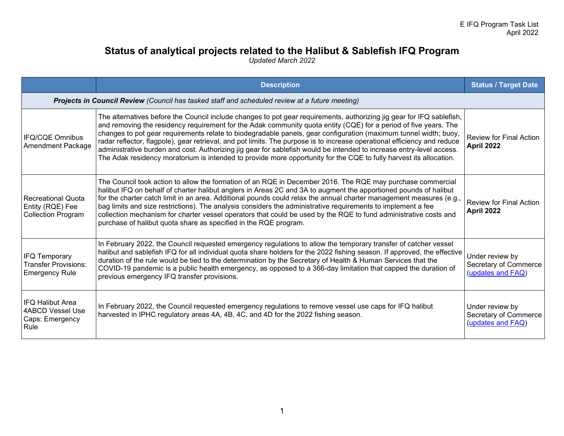## **Status of analytical projects related to the Halibut & Sablefish IFQ Program**

*Updated March 2022* 

|                                                                                                | <b>Description</b>                                                                                                                                                                                                                                                                                                                                                                                                                                                                                                                                                                                                                                                                                                                      | <b>Status / Target Date</b>                                   |
|------------------------------------------------------------------------------------------------|-----------------------------------------------------------------------------------------------------------------------------------------------------------------------------------------------------------------------------------------------------------------------------------------------------------------------------------------------------------------------------------------------------------------------------------------------------------------------------------------------------------------------------------------------------------------------------------------------------------------------------------------------------------------------------------------------------------------------------------------|---------------------------------------------------------------|
| Projects in Council Review (Council has tasked staff and scheduled review at a future meeting) |                                                                                                                                                                                                                                                                                                                                                                                                                                                                                                                                                                                                                                                                                                                                         |                                                               |
| <b>IFQ/CQE Omnibus</b><br><b>Amendment Package</b>                                             | The alternatives before the Council include changes to pot gear requirements, authorizing jig gear for IFQ sablefish,<br>and removing the residency requirement for the Adak community quota entity (CQE) for a period of five years. The<br>changes to pot gear requirements relate to biodegradable panels, gear configuration (maximum tunnel width; buoy,<br>radar reflector, flagpole), gear retrieval, and pot limits. The purpose is to increase operational efficiency and reduce<br>administrative burden and cost. Authorizing jig gear for sablefish would be intended to increase entry-level access.<br>The Adak residency moratorium is intended to provide more opportunity for the CQE to fully harvest its allocation. | <b>Review for Final Action</b><br>April 2022                  |
| <b>Recreational Quota</b><br>Entity (RQE) Fee<br><b>Collection Program</b>                     | The Council took action to allow the formation of an RQE in December 2016. The RQE may purchase commercial<br>halibut IFQ on behalf of charter halibut anglers in Areas 2C and 3A to augment the apportioned pounds of halibut<br>for the charter catch limit in an area. Additional pounds could relax the annual charter management measures (e.g.,<br>bag limits and size restrictions). The analysis considers the administrative requirements to implement a fee<br>collection mechanism for charter vessel operators that could be used by the RQE to fund administrative costs and<br>purchase of halibut quota share as specified in the RQE program.                                                                           | <b>Review for Final Action</b><br>April 2022                  |
| IFQ Temporary<br><b>Transfer Provisions:</b><br><b>Emergency Rule</b>                          | In February 2022, the Council requested emergency regulations to allow the temporary transfer of catcher vessel<br>halibut and sablefish IFQ for all individual quota share holders for the 2022 fishing season. If approved, the effective<br>duration of the rule would be tied to the determination by the Secretary of Health & Human Services that the<br>COVID-19 pandemic is a public health emergency, as opposed to a 366-day limitation that capped the duration of<br>previous emergency IFQ transfer provisions.                                                                                                                                                                                                            | Under review by<br>Secretary of Commerce<br>(updates and FAQ) |
| IFQ Halibut Area<br><b>4ABCD Vessel Use</b><br>Caps: Emergency<br>Rule                         | In February 2022, the Council requested emergency regulations to remove vessel use caps for IFQ halibut<br>harvested in IPHC regulatory areas 4A, 4B, 4C, and 4D for the 2022 fishing season.                                                                                                                                                                                                                                                                                                                                                                                                                                                                                                                                           | Under review by<br>Secretary of Commerce<br>(updates and FAQ) |